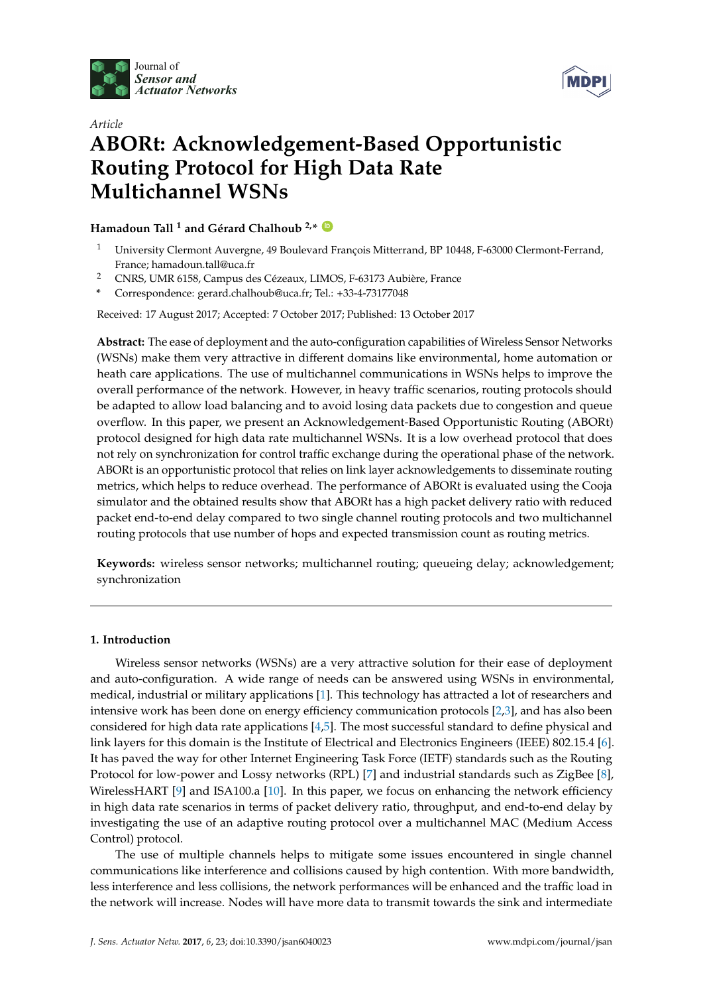



# *Article* **ABORt: Acknowledgement-Based Opportunistic Routing Protocol for High Data Rate Multichannel WSNs**

# **Hamadoun Tall <sup>1</sup> and Gérard Chalhoub 2,\* [ID](https://orcid.org/0000-0003-1687-598X)**

- <sup>1</sup> University Clermont Auvergne, 49 Boulevard François Mitterrand, BP 10448, F-63000 Clermont-Ferrand, France; hamadoun.tall@uca.fr
- <sup>2</sup> CNRS, UMR 6158, Campus des Cézeaux, LIMOS, F-63173 Aubière, France
- **\*** Correspondence: gerard.chalhoub@uca.fr; Tel.: +33-4-73177048

Received: 17 August 2017; Accepted: 7 October 2017; Published: 13 October 2017

**Abstract:** The ease of deployment and the auto-configuration capabilities of Wireless Sensor Networks (WSNs) make them very attractive in different domains like environmental, home automation or heath care applications. The use of multichannel communications in WSNs helps to improve the overall performance of the network. However, in heavy traffic scenarios, routing protocols should be adapted to allow load balancing and to avoid losing data packets due to congestion and queue overflow. In this paper, we present an Acknowledgement-Based Opportunistic Routing (ABORt) protocol designed for high data rate multichannel WSNs. It is a low overhead protocol that does not rely on synchronization for control traffic exchange during the operational phase of the network. ABORt is an opportunistic protocol that relies on link layer acknowledgements to disseminate routing metrics, which helps to reduce overhead. The performance of ABORt is evaluated using the Cooja simulator and the obtained results show that ABORt has a high packet delivery ratio with reduced packet end-to-end delay compared to two single channel routing protocols and two multichannel routing protocols that use number of hops and expected transmission count as routing metrics.

**Keywords:** wireless sensor networks; multichannel routing; queueing delay; acknowledgement; synchronization

# **1. Introduction**

Wireless sensor networks (WSNs) are a very attractive solution for their ease of deployment and auto-configuration. A wide range of needs can be answered using WSNs in environmental, medical, industrial or military applications [\[1\]](#page-13-0). This technology has attracted a lot of researchers and intensive work has been done on energy efficiency communication protocols [\[2](#page-13-1)[,3\]](#page-13-2), and has also been considered for high data rate applications [\[4](#page-13-3)[,5\]](#page-13-4). The most successful standard to define physical and link layers for this domain is the Institute of Electrical and Electronics Engineers (IEEE) 802.15.4 [\[6\]](#page-13-5). It has paved the way for other Internet Engineering Task Force (IETF) standards such as the Routing Protocol for low-power and Lossy networks (RPL) [\[7\]](#page-13-6) and industrial standards such as ZigBee [\[8\]](#page-13-7), WirelessHART [\[9\]](#page-13-8) and ISA100.a [\[10\]](#page-13-9). In this paper, we focus on enhancing the network efficiency in high data rate scenarios in terms of packet delivery ratio, throughput, and end-to-end delay by investigating the use of an adaptive routing protocol over a multichannel MAC (Medium Access Control) protocol.

The use of multiple channels helps to mitigate some issues encountered in single channel communications like interference and collisions caused by high contention. With more bandwidth, less interference and less collisions, the network performances will be enhanced and the traffic load in the network will increase. Nodes will have more data to transmit towards the sink and intermediate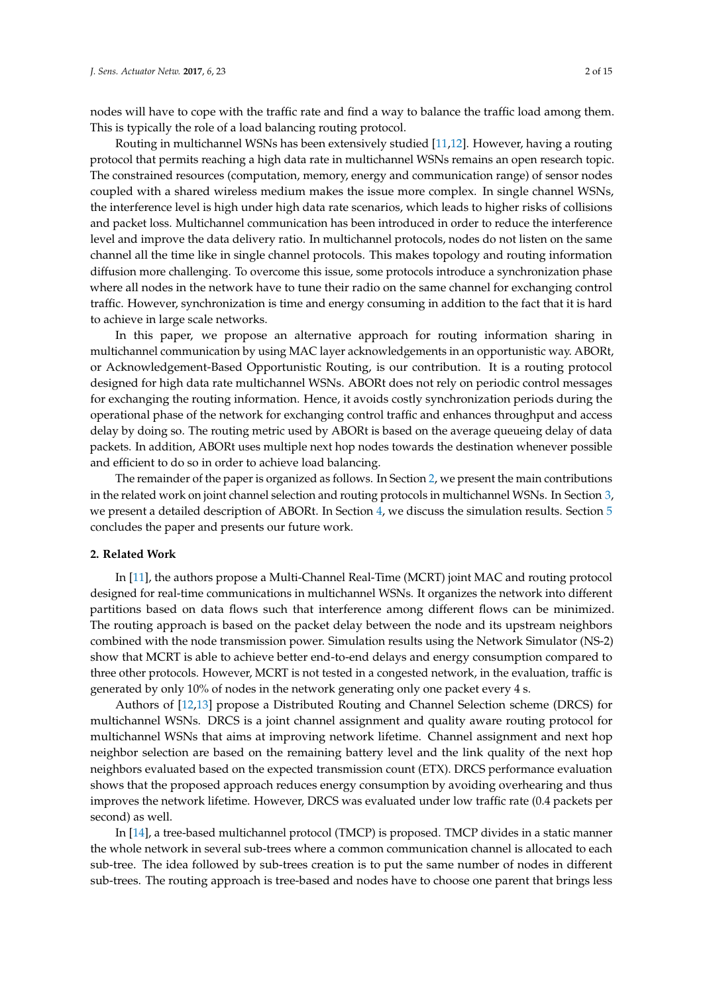nodes will have to cope with the traffic rate and find a way to balance the traffic load among them. This is typically the role of a load balancing routing protocol.

Routing in multichannel WSNs has been extensively studied [\[11,](#page-13-10)[12\]](#page-13-11). However, having a routing protocol that permits reaching a high data rate in multichannel WSNs remains an open research topic. The constrained resources (computation, memory, energy and communication range) of sensor nodes coupled with a shared wireless medium makes the issue more complex. In single channel WSNs, the interference level is high under high data rate scenarios, which leads to higher risks of collisions and packet loss. Multichannel communication has been introduced in order to reduce the interference level and improve the data delivery ratio. In multichannel protocols, nodes do not listen on the same channel all the time like in single channel protocols. This makes topology and routing information diffusion more challenging. To overcome this issue, some protocols introduce a synchronization phase where all nodes in the network have to tune their radio on the same channel for exchanging control traffic. However, synchronization is time and energy consuming in addition to the fact that it is hard to achieve in large scale networks.

In this paper, we propose an alternative approach for routing information sharing in multichannel communication by using MAC layer acknowledgements in an opportunistic way. ABORt, or Acknowledgement-Based Opportunistic Routing, is our contribution. It is a routing protocol designed for high data rate multichannel WSNs. ABORt does not rely on periodic control messages for exchanging the routing information. Hence, it avoids costly synchronization periods during the operational phase of the network for exchanging control traffic and enhances throughput and access delay by doing so. The routing metric used by ABORt is based on the average queueing delay of data packets. In addition, ABORt uses multiple next hop nodes towards the destination whenever possible and efficient to do so in order to achieve load balancing.

The remainder of the paper is organized as follows. In Section [2,](#page-1-0) we present the main contributions in the related work on joint channel selection and routing protocols in multichannel WSNs. In Section [3,](#page-3-0) we present a detailed description of ABORt. In Section [4,](#page-7-0) we discuss the simulation results. Section [5](#page-12-0) concludes the paper and presents our future work.

#### <span id="page-1-0"></span>**2. Related Work**

In [\[11\]](#page-13-10), the authors propose a Multi-Channel Real-Time (MCRT) joint MAC and routing protocol designed for real-time communications in multichannel WSNs. It organizes the network into different partitions based on data flows such that interference among different flows can be minimized. The routing approach is based on the packet delay between the node and its upstream neighbors combined with the node transmission power. Simulation results using the Network Simulator (NS-2) show that MCRT is able to achieve better end-to-end delays and energy consumption compared to three other protocols. However, MCRT is not tested in a congested network, in the evaluation, traffic is generated by only 10% of nodes in the network generating only one packet every 4 s.

Authors of [\[12,](#page-13-11)[13\]](#page-13-12) propose a Distributed Routing and Channel Selection scheme (DRCS) for multichannel WSNs. DRCS is a joint channel assignment and quality aware routing protocol for multichannel WSNs that aims at improving network lifetime. Channel assignment and next hop neighbor selection are based on the remaining battery level and the link quality of the next hop neighbors evaluated based on the expected transmission count (ETX). DRCS performance evaluation shows that the proposed approach reduces energy consumption by avoiding overhearing and thus improves the network lifetime. However, DRCS was evaluated under low traffic rate (0.4 packets per second) as well.

In [\[14\]](#page-13-13), a tree-based multichannel protocol (TMCP) is proposed. TMCP divides in a static manner the whole network in several sub-trees where a common communication channel is allocated to each sub-tree. The idea followed by sub-trees creation is to put the same number of nodes in different sub-trees. The routing approach is tree-based and nodes have to choose one parent that brings less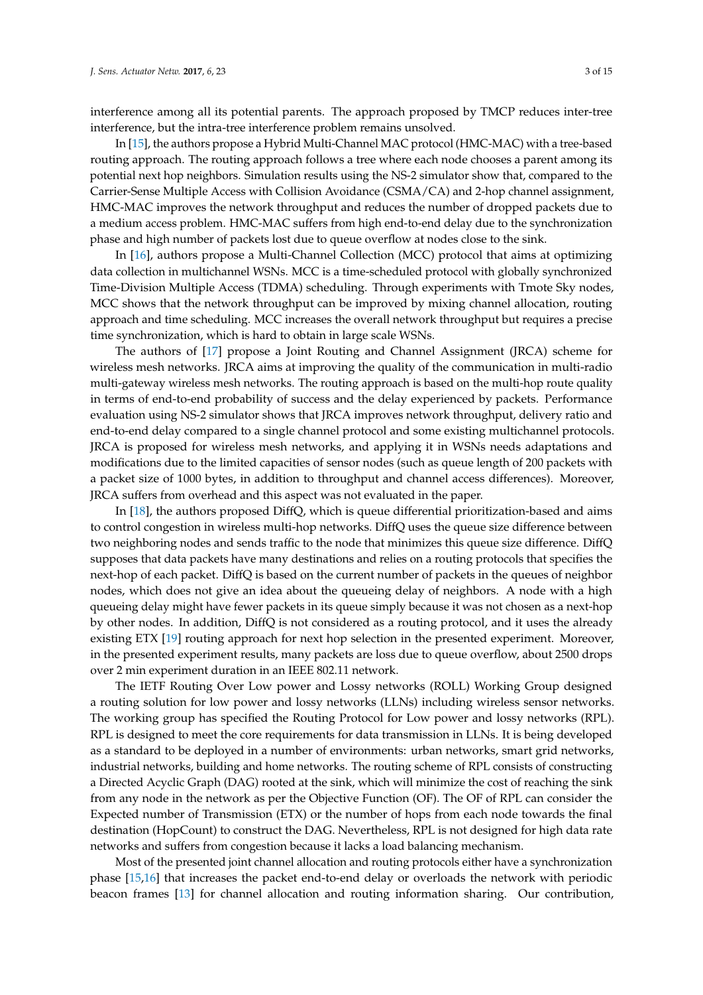interference among all its potential parents. The approach proposed by TMCP reduces inter-tree interference, but the intra-tree interference problem remains unsolved.

In [\[15\]](#page-13-14), the authors propose a Hybrid Multi-Channel MAC protocol (HMC-MAC) with a tree-based routing approach. The routing approach follows a tree where each node chooses a parent among its potential next hop neighbors. Simulation results using the NS-2 simulator show that, compared to the Carrier-Sense Multiple Access with Collision Avoidance (CSMA/CA) and 2-hop channel assignment, HMC-MAC improves the network throughput and reduces the number of dropped packets due to a medium access problem. HMC-MAC suffers from high end-to-end delay due to the synchronization phase and high number of packets lost due to queue overflow at nodes close to the sink.

In [\[16\]](#page-13-15), authors propose a Multi-Channel Collection (MCC) protocol that aims at optimizing data collection in multichannel WSNs. MCC is a time-scheduled protocol with globally synchronized Time-Division Multiple Access (TDMA) scheduling. Through experiments with Tmote Sky nodes, MCC shows that the network throughput can be improved by mixing channel allocation, routing approach and time scheduling. MCC increases the overall network throughput but requires a precise time synchronization, which is hard to obtain in large scale WSNs.

The authors of [\[17\]](#page-13-16) propose a Joint Routing and Channel Assignment (JRCA) scheme for wireless mesh networks. JRCA aims at improving the quality of the communication in multi-radio multi-gateway wireless mesh networks. The routing approach is based on the multi-hop route quality in terms of end-to-end probability of success and the delay experienced by packets. Performance evaluation using NS-2 simulator shows that JRCA improves network throughput, delivery ratio and end-to-end delay compared to a single channel protocol and some existing multichannel protocols. JRCA is proposed for wireless mesh networks, and applying it in WSNs needs adaptations and modifications due to the limited capacities of sensor nodes (such as queue length of 200 packets with a packet size of 1000 bytes, in addition to throughput and channel access differences). Moreover, JRCA suffers from overhead and this aspect was not evaluated in the paper.

In [\[18\]](#page-13-17), the authors proposed DiffQ, which is queue differential prioritization-based and aims to control congestion in wireless multi-hop networks. DiffQ uses the queue size difference between two neighboring nodes and sends traffic to the node that minimizes this queue size difference. DiffQ supposes that data packets have many destinations and relies on a routing protocols that specifies the next-hop of each packet. DiffQ is based on the current number of packets in the queues of neighbor nodes, which does not give an idea about the queueing delay of neighbors. A node with a high queueing delay might have fewer packets in its queue simply because it was not chosen as a next-hop by other nodes. In addition, DiffQ is not considered as a routing protocol, and it uses the already existing ETX [\[19\]](#page-13-18) routing approach for next hop selection in the presented experiment. Moreover, in the presented experiment results, many packets are loss due to queue overflow, about 2500 drops over 2 min experiment duration in an IEEE 802.11 network.

The IETF Routing Over Low power and Lossy networks (ROLL) Working Group designed a routing solution for low power and lossy networks (LLNs) including wireless sensor networks. The working group has specified the Routing Protocol for Low power and lossy networks (RPL). RPL is designed to meet the core requirements for data transmission in LLNs. It is being developed as a standard to be deployed in a number of environments: urban networks, smart grid networks, industrial networks, building and home networks. The routing scheme of RPL consists of constructing a Directed Acyclic Graph (DAG) rooted at the sink, which will minimize the cost of reaching the sink from any node in the network as per the Objective Function (OF). The OF of RPL can consider the Expected number of Transmission (ETX) or the number of hops from each node towards the final destination (HopCount) to construct the DAG. Nevertheless, RPL is not designed for high data rate networks and suffers from congestion because it lacks a load balancing mechanism.

Most of the presented joint channel allocation and routing protocols either have a synchronization phase [\[15](#page-13-14)[,16\]](#page-13-15) that increases the packet end-to-end delay or overloads the network with periodic beacon frames [\[13\]](#page-13-12) for channel allocation and routing information sharing. Our contribution,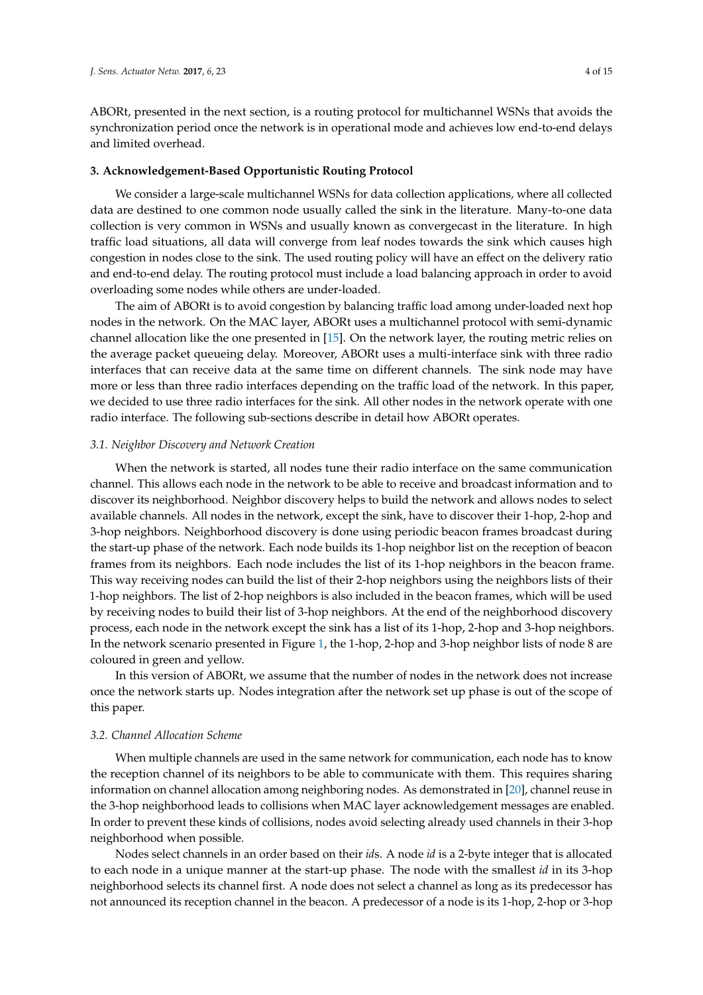ABORt, presented in the next section, is a routing protocol for multichannel WSNs that avoids the synchronization period once the network is in operational mode and achieves low end-to-end delays and limited overhead.

#### <span id="page-3-0"></span>**3. Acknowledgement-Based Opportunistic Routing Protocol**

We consider a large-scale multichannel WSNs for data collection applications, where all collected data are destined to one common node usually called the sink in the literature. Many-to-one data collection is very common in WSNs and usually known as convergecast in the literature. In high traffic load situations, all data will converge from leaf nodes towards the sink which causes high congestion in nodes close to the sink. The used routing policy will have an effect on the delivery ratio and end-to-end delay. The routing protocol must include a load balancing approach in order to avoid overloading some nodes while others are under-loaded.

The aim of ABORt is to avoid congestion by balancing traffic load among under-loaded next hop nodes in the network. On the MAC layer, ABORt uses a multichannel protocol with semi-dynamic channel allocation like the one presented in [\[15\]](#page-13-14). On the network layer, the routing metric relies on the average packet queueing delay. Moreover, ABORt uses a multi-interface sink with three radio interfaces that can receive data at the same time on different channels. The sink node may have more or less than three radio interfaces depending on the traffic load of the network. In this paper, we decided to use three radio interfaces for the sink. All other nodes in the network operate with one radio interface. The following sub-sections describe in detail how ABORt operates.

#### *3.1. Neighbor Discovery and Network Creation*

When the network is started, all nodes tune their radio interface on the same communication channel. This allows each node in the network to be able to receive and broadcast information and to discover its neighborhood. Neighbor discovery helps to build the network and allows nodes to select available channels. All nodes in the network, except the sink, have to discover their 1-hop, 2-hop and 3-hop neighbors. Neighborhood discovery is done using periodic beacon frames broadcast during the start-up phase of the network. Each node builds its 1-hop neighbor list on the reception of beacon frames from its neighbors. Each node includes the list of its 1-hop neighbors in the beacon frame. This way receiving nodes can build the list of their 2-hop neighbors using the neighbors lists of their 1-hop neighbors. The list of 2-hop neighbors is also included in the beacon frames, which will be used by receiving nodes to build their list of 3-hop neighbors. At the end of the neighborhood discovery process, each node in the network except the sink has a list of its 1-hop, 2-hop and 3-hop neighbors. In the network scenario presented in Figure [1,](#page-4-0) the 1-hop, 2-hop and 3-hop neighbor lists of node 8 are coloured in green and yellow.

In this version of ABORt, we assume that the number of nodes in the network does not increase once the network starts up. Nodes integration after the network set up phase is out of the scope of this paper.

#### *3.2. Channel Allocation Scheme*

When multiple channels are used in the same network for communication, each node has to know the reception channel of its neighbors to be able to communicate with them. This requires sharing information on channel allocation among neighboring nodes. As demonstrated in [\[20\]](#page-13-19), channel reuse in the 3-hop neighborhood leads to collisions when MAC layer acknowledgement messages are enabled. In order to prevent these kinds of collisions, nodes avoid selecting already used channels in their 3-hop neighborhood when possible.

Nodes select channels in an order based on their *id*s. A node *id* is a 2-byte integer that is allocated to each node in a unique manner at the start-up phase. The node with the smallest *id* in its 3-hop neighborhood selects its channel first. A node does not select a channel as long as its predecessor has not announced its reception channel in the beacon. A predecessor of a node is its 1-hop, 2-hop or 3-hop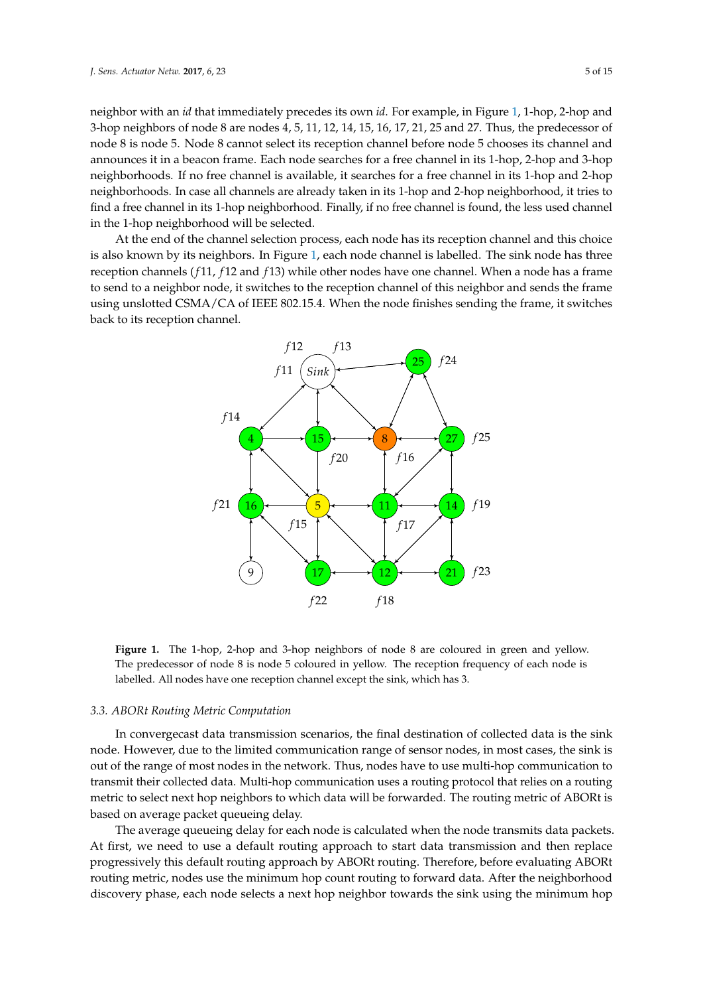neighbor with an *id* that immediately precedes its own *id*. For example, in Figure [1,](#page-4-0) 1-hop, 2-hop and 3-hop neighbors of node 8 are nodes 4, 5, 11, 12, 14, 15, 16, 17, 21, 25 and 27. Thus, the predecessor of node 8 is node 5. Node 8 cannot select its reception channel before node 5 chooses its channel and announces it in a beacon frame. Each node searches for a free channel in its 1-hop, 2-hop and 3-hop neighborhoods. If no free channel is available, it searches for a free channel in its 1-hop and 2-hop neighborhoods. In case all channels are already taken in its 1-hop and 2-hop neighborhood, it tries to find a free channel in its 1-hop neighborhood. Finally, if no free channel is found, the less used channel in the 1-hop neighborhood will be selected.

<span id="page-4-0"></span>At the end of the channel selection process, each node has its reception channel and this choice is also known by its neighbors. In Figure [1,](#page-4-0) each node channel is labelled. The sink node has three reception channels (*f* 11, *f* 12 and *f* 13) while other nodes have one channel. When a node has a frame to send to a neighbor node, it switches to the reception channel of this neighbor and sends the frame using unslotted CSMA/CA of IEEE 802.15.4. When the node finishes sending the frame, it switches back to its reception channel.



**Figure 1.** The 1-hop, 2-hop and 3-hop neighbors of node 8 are coloured in green and yellow. The predecessor of node 8 is node 5 coloured in yellow. The reception frequency of each node is labelled. All nodes have one reception channel except the sink, which has 3.

#### *3.3. ABORt Routing Metric Computation*

In convergecast data transmission scenarios, the final destination of collected data is the sink node. However, due to the limited communication range of sensor nodes, in most cases, the sink is out of the range of most nodes in the network. Thus, nodes have to use multi-hop communication to transmit their collected data. Multi-hop communication uses a routing protocol that relies on a routing metric to select next hop neighbors to which data will be forwarded. The routing metric of ABORt is based on average packet queueing delay.

The average queueing delay for each node is calculated when the node transmits data packets. At first, we need to use a default routing approach to start data transmission and then replace progressively this default routing approach by ABORt routing. Therefore, before evaluating ABORt routing metric, nodes use the minimum hop count routing to forward data. After the neighborhood discovery phase, each node selects a next hop neighbor towards the sink using the minimum hop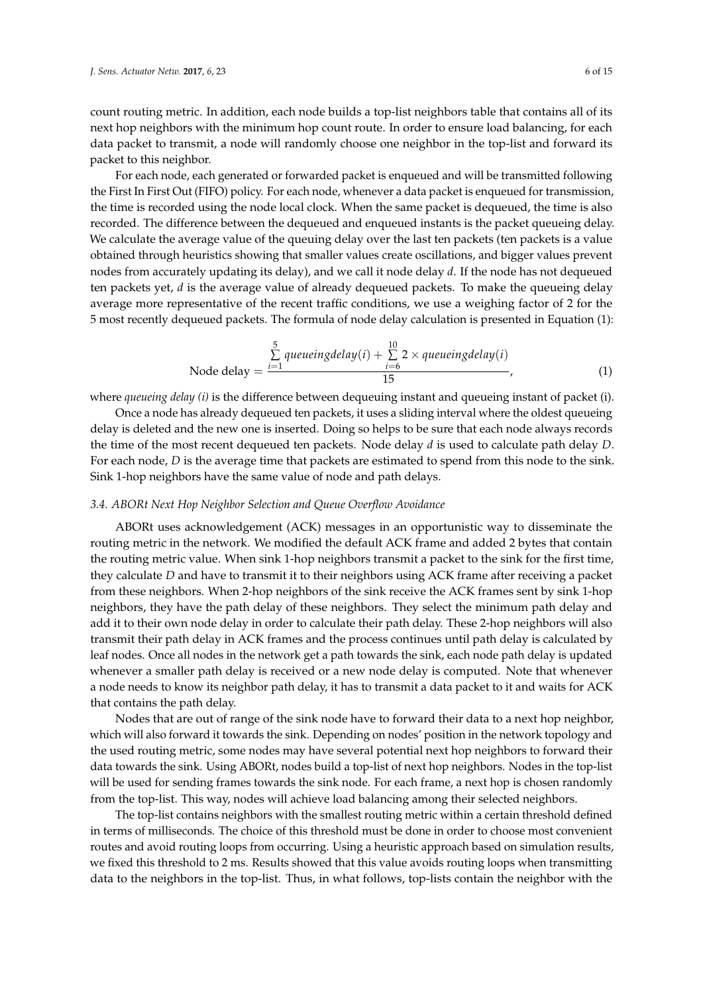count routing metric. In addition, each node builds a top-list neighbors table that contains all of its next hop neighbors with the minimum hop count route. In order to ensure load balancing, for each data packet to transmit, a node will randomly choose one neighbor in the top-list and forward its packet to this neighbor.

For each node, each generated or forwarded packet is enqueued and will be transmitted following the First In First Out (FIFO) policy. For each node, whenever a data packet is enqueued for transmission, the time is recorded using the node local clock. When the same packet is dequeued, the time is also recorded. The difference between the dequeued and enqueued instants is the packet queueing delay. We calculate the average value of the queuing delay over the last ten packets (ten packets is a value obtained through heuristics showing that smaller values create oscillations, and bigger values prevent nodes from accurately updating its delay), and we call it node delay *d*. If the node has not dequeued ten packets yet, *d* is the average value of already dequeued packets. To make the queueing delay average more representative of the recent traffic conditions, we use a weighing factor of 2 for the 5 most recently dequeued packets. The formula of node delay calculation is presented in Equation (1):

Node delay =

\n
$$
\frac{\sum_{i=1}^{5} queueingdelay(i) + \sum_{i=6}^{10} 2 \times queueingdelay(i)}{15},
$$
\n(1)

where *queueing delay (i)* is the difference between dequeuing instant and queueing instant of packet (i).

Once a node has already dequeued ten packets, it uses a sliding interval where the oldest queueing delay is deleted and the new one is inserted. Doing so helps to be sure that each node always records the time of the most recent dequeued ten packets. Node delay *d* is used to calculate path delay *D*. For each node, *D* is the average time that packets are estimated to spend from this node to the sink. Sink 1-hop neighbors have the same value of node and path delays.

#### *3.4. ABORt Next Hop Neighbor Selection and Queue Overflow Avoidance*

ABORt uses acknowledgement (ACK) messages in an opportunistic way to disseminate the routing metric in the network. We modified the default ACK frame and added 2 bytes that contain the routing metric value. When sink 1-hop neighbors transmit a packet to the sink for the first time, they calculate *D* and have to transmit it to their neighbors using ACK frame after receiving a packet from these neighbors. When 2-hop neighbors of the sink receive the ACK frames sent by sink 1-hop neighbors, they have the path delay of these neighbors. They select the minimum path delay and add it to their own node delay in order to calculate their path delay. These 2-hop neighbors will also transmit their path delay in ACK frames and the process continues until path delay is calculated by leaf nodes. Once all nodes in the network get a path towards the sink, each node path delay is updated whenever a smaller path delay is received or a new node delay is computed. Note that whenever a node needs to know its neighbor path delay, it has to transmit a data packet to it and waits for ACK that contains the path delay.

Nodes that are out of range of the sink node have to forward their data to a next hop neighbor, which will also forward it towards the sink. Depending on nodes' position in the network topology and the used routing metric, some nodes may have several potential next hop neighbors to forward their data towards the sink. Using ABORt, nodes build a top-list of next hop neighbors. Nodes in the top-list will be used for sending frames towards the sink node. For each frame, a next hop is chosen randomly from the top-list. This way, nodes will achieve load balancing among their selected neighbors.

The top-list contains neighbors with the smallest routing metric within a certain threshold defined in terms of milliseconds. The choice of this threshold must be done in order to choose most convenient routes and avoid routing loops from occurring. Using a heuristic approach based on simulation results, we fixed this threshold to 2 ms. Results showed that this value avoids routing loops when transmitting data to the neighbors in the top-list. Thus, in what follows, top-lists contain the neighbor with the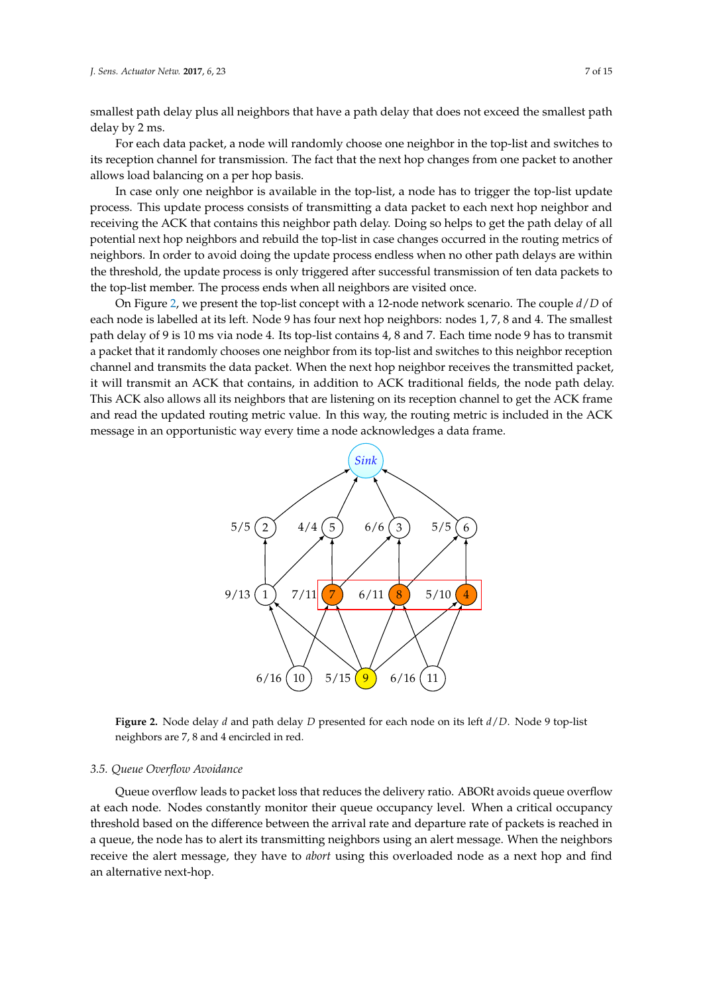smallest path delay plus all neighbors that have a path delay that does not exceed the smallest path delay by 2 ms.

For each data packet, a node will randomly choose one neighbor in the top-list and switches to its reception channel for transmission. The fact that the next hop changes from one packet to another allows load balancing on a per hop basis.

In case only one neighbor is available in the top-list, a node has to trigger the top-list update process. This update process consists of transmitting a data packet to each next hop neighbor and receiving the ACK that contains this neighbor path delay. Doing so helps to get the path delay of all potential next hop neighbors and rebuild the top-list in case changes occurred in the routing metrics of neighbors. In order to avoid doing the update process endless when no other path delays are within the threshold, the update process is only triggered after successful transmission of ten data packets to the top-list member. The process ends when all neighbors are visited once.

On Figure [2,](#page-6-0) we present the top-list concept with a 12-node network scenario. The couple *d*/*D* of each node is labelled at its left. Node 9 has four next hop neighbors: nodes 1, 7, 8 and 4. The smallest path delay of 9 is 10 ms via node 4. Its top-list contains 4, 8 and 7. Each time node 9 has to transmit a packet that it randomly chooses one neighbor from its top-list and switches to this neighbor reception channel and transmits the data packet. When the next hop neighbor receives the transmitted packet, it will transmit an ACK that contains, in addition to ACK traditional fields, the node path delay. This ACK also allows all its neighbors that are listening on its reception channel to get the ACK frame and read the updated routing metric value. In this way, the routing metric is included in the ACK message in an opportunistic way every time a node acknowledges a data frame.

<span id="page-6-0"></span>

**Figure 2.** Node delay *d* and path delay *D* presented for each node on its left *d*/*D*. Node 9 top-list neighbors are 7, 8 and 4 encircled in red.

#### *3.5. Queue Overflow Avoidance*

Queue overflow leads to packet loss that reduces the delivery ratio. ABORt avoids queue overflow at each node. Nodes constantly monitor their queue occupancy level. When a critical occupancy threshold based on the difference between the arrival rate and departure rate of packets is reached in a queue, the node has to alert its transmitting neighbors using an alert message. When the neighbors receive the alert message, they have to *abort* using this overloaded node as a next hop and find an alternative next-hop.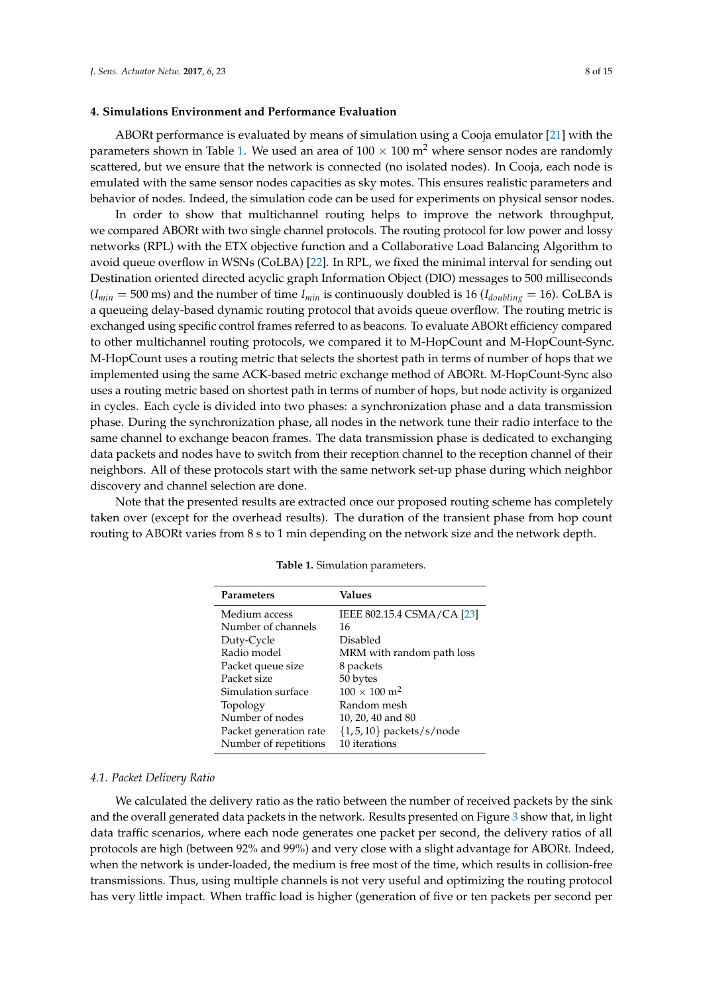#### <span id="page-7-0"></span>**4. Simulations Environment and Performance Evaluation**

ABORt performance is evaluated by means of simulation using a Cooja emulator [\[21\]](#page-13-20) with the parameters shown in Table [1.](#page-7-1) We used an area of  $100 \times 100$  m<sup>2</sup> where sensor nodes are randomly scattered, but we ensure that the network is connected (no isolated nodes). In Cooja, each node is emulated with the same sensor nodes capacities as sky motes. This ensures realistic parameters and behavior of nodes. Indeed, the simulation code can be used for experiments on physical sensor nodes.

In order to show that multichannel routing helps to improve the network throughput, we compared ABORt with two single channel protocols. The routing protocol for low power and lossy networks (RPL) with the ETX objective function and a Collaborative Load Balancing Algorithm to avoid queue overflow in WSNs (CoLBA) [\[22\]](#page-14-0). In RPL, we fixed the minimal interval for sending out Destination oriented directed acyclic graph Information Object (DIO) messages to 500 milliseconds  $(I_{min} = 500 \text{ ms})$  and the number of time  $I_{min}$  is continuously doubled is 16  $(I_{doubling} = 16)$ . CoLBA is a queueing delay-based dynamic routing protocol that avoids queue overflow. The routing metric is exchanged using specific control frames referred to as beacons. To evaluate ABORt efficiency compared to other multichannel routing protocols, we compared it to M-HopCount and M-HopCount-Sync. M-HopCount uses a routing metric that selects the shortest path in terms of number of hops that we implemented using the same ACK-based metric exchange method of ABORt. M-HopCount-Sync also uses a routing metric based on shortest path in terms of number of hops, but node activity is organized in cycles. Each cycle is divided into two phases: a synchronization phase and a data transmission phase. During the synchronization phase, all nodes in the network tune their radio interface to the same channel to exchange beacon frames. The data transmission phase is dedicated to exchanging data packets and nodes have to switch from their reception channel to the reception channel of their neighbors. All of these protocols start with the same network set-up phase during which neighbor discovery and channel selection are done.

<span id="page-7-1"></span>Note that the presented results are extracted once our proposed routing scheme has completely taken over (except for the overhead results). The duration of the transient phase from hop count routing to ABORt varies from 8 s to 1 min depending on the network size and the network depth.

| Values                        |
|-------------------------------|
| IEEE 802.15.4 CSMA/CA [23]    |
| 16                            |
| Disabled                      |
| MRM with random path loss     |
| 8 packets                     |
| 50 bytes                      |
| $100 \times 100 \text{ m}^2$  |
| Random mesh                   |
| 10, 20, 40 and 80             |
| $\{1, 5, 10\}$ packets/s/node |
| 10 iterations                 |
|                               |

**Table 1.** Simulation parameters.

#### *4.1. Packet Delivery Ratio*

We calculated the delivery ratio as the ratio between the number of received packets by the sink and the overall generated data packets in the network. Results presented on Figure [3](#page-8-0) show that, in light data traffic scenarios, where each node generates one packet per second, the delivery ratios of all protocols are high (between 92% and 99%) and very close with a slight advantage for ABORt. Indeed, when the network is under-loaded, the medium is free most of the time, which results in collision-free transmissions. Thus, using multiple channels is not very useful and optimizing the routing protocol has very little impact. When traffic load is higher (generation of five or ten packets per second per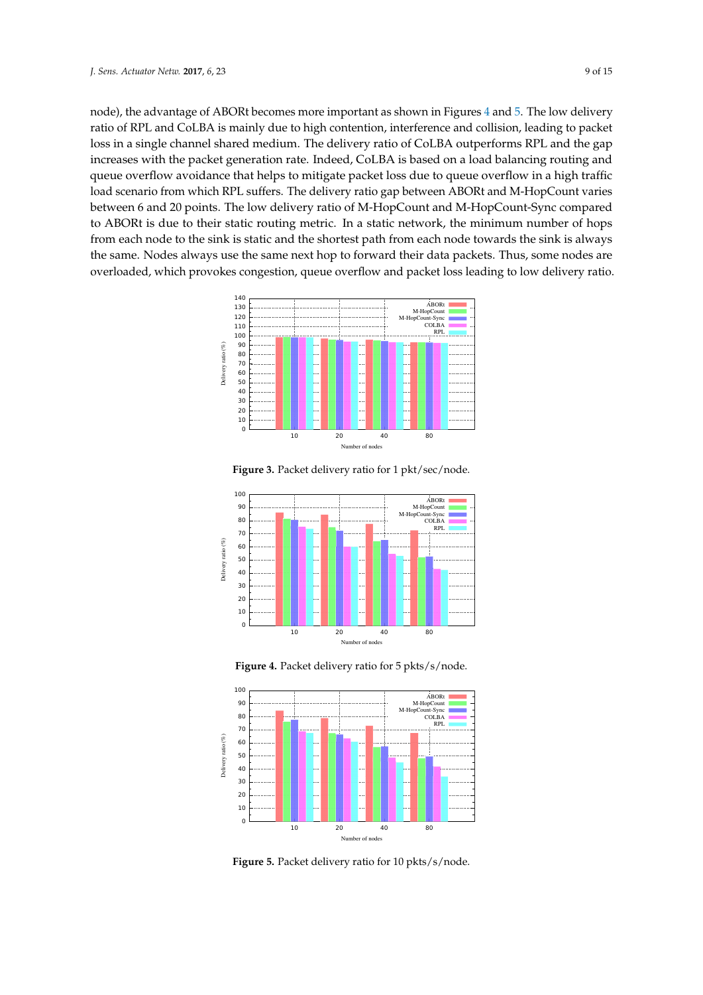node), the advantage of ABORt becomes more important as shown in Figures [4](#page-8-1) and [5.](#page-8-2) The low delivery ratio of RPL and CoLBA is mainly due to high contention, interference and collision, leading to packet loss in a single channel shared medium. The delivery ratio of CoLBA outperforms RPL and the gap increases with the packet generation rate. Indeed, CoLBA is based on a load balancing routing and queue overflow avoidance that helps to mitigate packet loss due to queue overflow in a high traffic load scenario from which RPL suffers. The delivery ratio gap between ABORt and M-HopCount varies between 6 and 20 points. The low delivery ratio of M-HopCount and M-HopCount-Sync compared to ABORt is due to their static routing metric. In a static network, the minimum number of hops from each node to the sink is static and the shortest path from each node towards the sink is always the same. Nodes always use the same next hop to forward their data packets. Thus, some nodes are overloaded, which provokes congestion, queue overflow and packet loss leading to low delivery ratio.

<span id="page-8-0"></span>

<span id="page-8-1"></span> 100 ABORt M-HopCount 90 M-HopCount-Sync COLBA RPL 80 70 Delivery ratio (%) Delivery ratio (%) 60 50 40 30  $20$ 10

**Figure 3.** Packet delivery ratio for 1 pkt/sec/node.

**Figure 4.** Packet delivery ratio for 5 pkts/s/node.

10 20 40 80

of no

 $\overline{0}$ 

<span id="page-8-2"></span>

**Figure 5.** Packet delivery ratio for 10 pkts/s/node.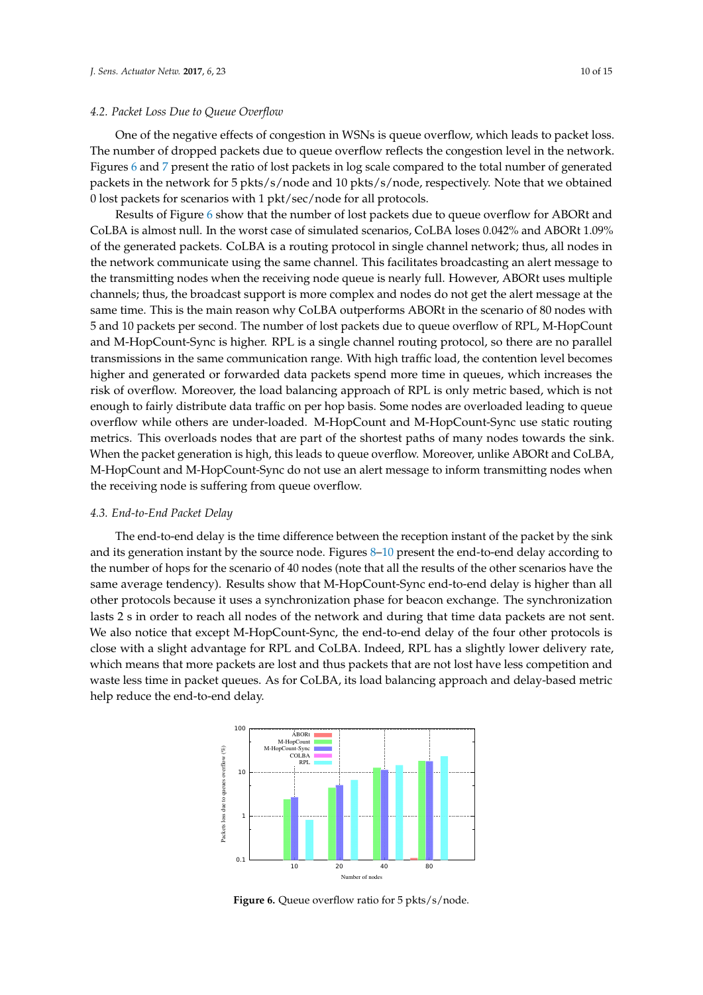#### *4.2. Packet Loss Due to Queue Overflow*

One of the negative effects of congestion in WSNs is queue overflow, which leads to packet loss. The number of dropped packets due to queue overflow reflects the congestion level in the network. Figures [6](#page-9-0) and [7](#page-10-0) present the ratio of lost packets in log scale compared to the total number of generated packets in the network for 5 pkts/s/node and 10 pkts/s/node, respectively. Note that we obtained 0 lost packets for scenarios with 1 pkt/sec/node for all protocols.

Results of Figure [6](#page-9-0) show that the number of lost packets due to queue overflow for ABORt and CoLBA is almost null. In the worst case of simulated scenarios, CoLBA loses 0.042% and ABORt 1.09% of the generated packets. CoLBA is a routing protocol in single channel network; thus, all nodes in the network communicate using the same channel. This facilitates broadcasting an alert message to the transmitting nodes when the receiving node queue is nearly full. However, ABORt uses multiple channels; thus, the broadcast support is more complex and nodes do not get the alert message at the same time. This is the main reason why CoLBA outperforms ABORt in the scenario of 80 nodes with 5 and 10 packets per second. The number of lost packets due to queue overflow of RPL, M-HopCount and M-HopCount-Sync is higher. RPL is a single channel routing protocol, so there are no parallel transmissions in the same communication range. With high traffic load, the contention level becomes higher and generated or forwarded data packets spend more time in queues, which increases the risk of overflow. Moreover, the load balancing approach of RPL is only metric based, which is not enough to fairly distribute data traffic on per hop basis. Some nodes are overloaded leading to queue overflow while others are under-loaded. M-HopCount and M-HopCount-Sync use static routing metrics. This overloads nodes that are part of the shortest paths of many nodes towards the sink. When the packet generation is high, this leads to queue overflow. Moreover, unlike ABORt and CoLBA, M-HopCount and M-HopCount-Sync do not use an alert message to inform transmitting nodes when the receiving node is suffering from queue overflow.

#### *4.3. End-to-End Packet Delay*

The end-to-end delay is the time difference between the reception instant of the packet by the sink and its generation instant by the source node. Figures [8–](#page-10-1)[10](#page-10-2) present the end-to-end delay according to the number of hops for the scenario of 40 nodes (note that all the results of the other scenarios have the same average tendency). Results show that M-HopCount-Sync end-to-end delay is higher than all other protocols because it uses a synchronization phase for beacon exchange. The synchronization lasts 2 s in order to reach all nodes of the network and during that time data packets are not sent. We also notice that except M-HopCount-Sync, the end-to-end delay of the four other protocols is close with a slight advantage for RPL and CoLBA. Indeed, RPL has a slightly lower delivery rate, which means that more packets are lost and thus packets that are not lost have less competition and waste less time in packet queues. As for CoLBA, its load balancing approach and delay-based metric help reduce the end-to-end delay.

<span id="page-9-0"></span>

**Figure 6.** Queue overflow ratio for 5 pkts/s/node.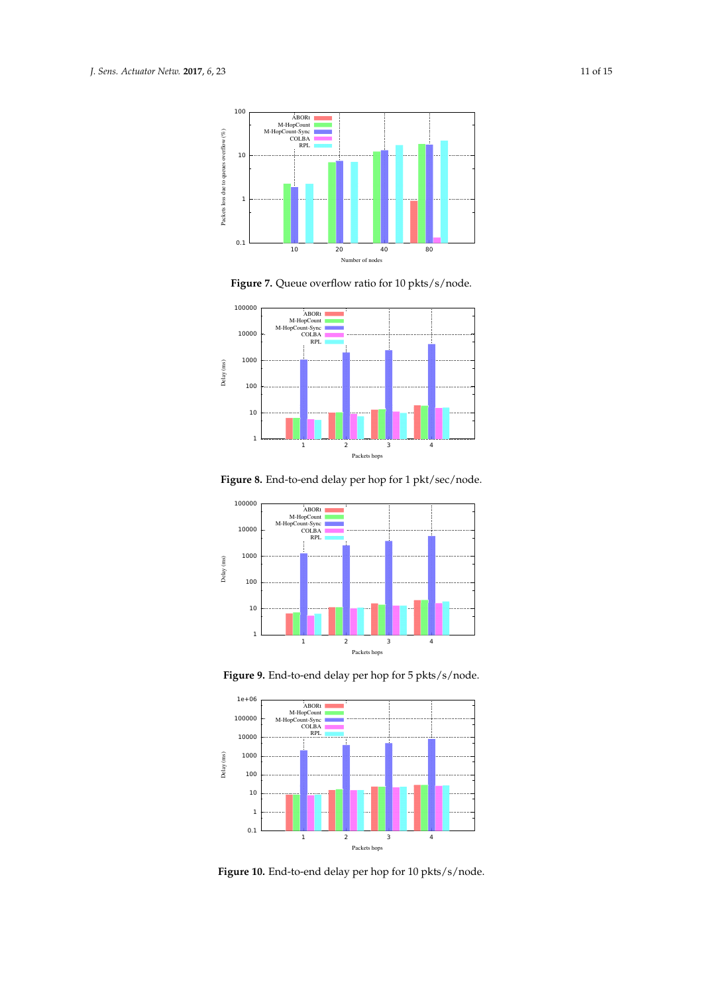<span id="page-10-0"></span>

**Figure 7.** Queue overflow ratio for 10 pkts/s/node.

<span id="page-10-1"></span>

**Figure 8.** End-to-end delay per hop for 1 pkt/sec/node.



**Figure 9.** End-to-end delay per hop for 5 pkts/s/node.

<span id="page-10-2"></span>

**Figure 10.** End-to-end delay per hop for 10 pkts/s/node.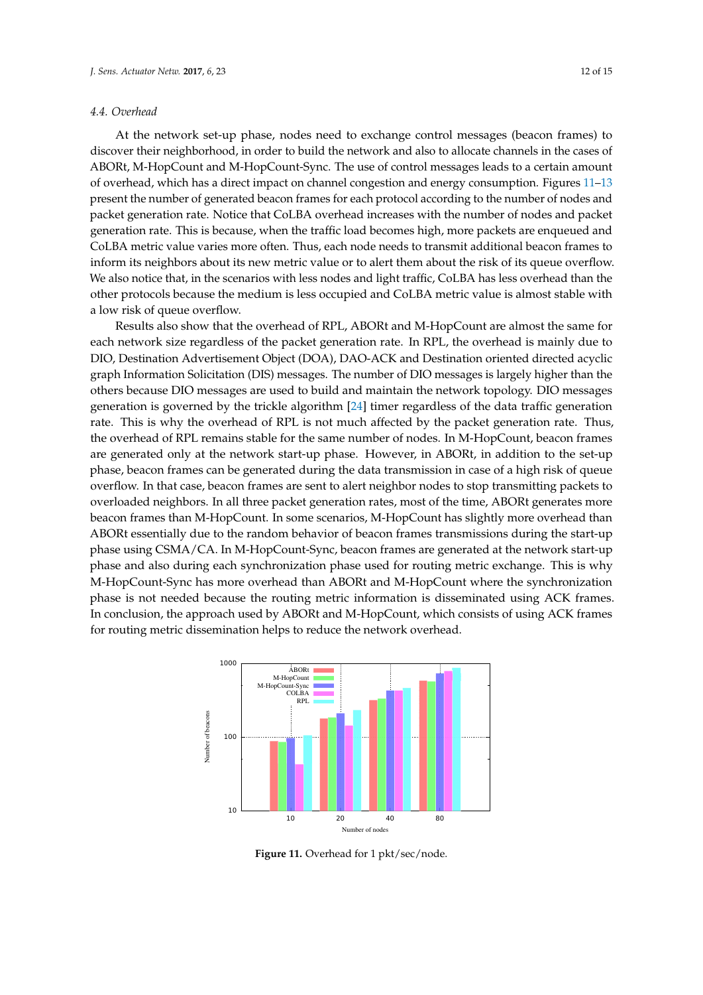#### *4.4. Overhead*

At the network set-up phase, nodes need to exchange control messages (beacon frames) to discover their neighborhood, in order to build the network and also to allocate channels in the cases of ABORt, M-HopCount and M-HopCount-Sync. The use of control messages leads to a certain amount of overhead, which has a direct impact on channel congestion and energy consumption. Figures [11–](#page-11-0)[13](#page-12-1) present the number of generated beacon frames for each protocol according to the number of nodes and packet generation rate. Notice that CoLBA overhead increases with the number of nodes and packet generation rate. This is because, when the traffic load becomes high, more packets are enqueued and CoLBA metric value varies more often. Thus, each node needs to transmit additional beacon frames to inform its neighbors about its new metric value or to alert them about the risk of its queue overflow. We also notice that, in the scenarios with less nodes and light traffic, CoLBA has less overhead than the other protocols because the medium is less occupied and CoLBA metric value is almost stable with a low risk of queue overflow.

Results also show that the overhead of RPL, ABORt and M-HopCount are almost the same for each network size regardless of the packet generation rate. In RPL, the overhead is mainly due to DIO, Destination Advertisement Object (DOA), DAO-ACK and Destination oriented directed acyclic graph Information Solicitation (DIS) messages. The number of DIO messages is largely higher than the others because DIO messages are used to build and maintain the network topology. DIO messages generation is governed by the trickle algorithm [\[24\]](#page-14-2) timer regardless of the data traffic generation rate. This is why the overhead of RPL is not much affected by the packet generation rate. Thus, the overhead of RPL remains stable for the same number of nodes. In M-HopCount, beacon frames are generated only at the network start-up phase. However, in ABORt, in addition to the set-up phase, beacon frames can be generated during the data transmission in case of a high risk of queue overflow. In that case, beacon frames are sent to alert neighbor nodes to stop transmitting packets to overloaded neighbors. In all three packet generation rates, most of the time, ABORt generates more beacon frames than M-HopCount. In some scenarios, M-HopCount has slightly more overhead than ABORt essentially due to the random behavior of beacon frames transmissions during the start-up phase using CSMA/CA. In M-HopCount-Sync, beacon frames are generated at the network start-up phase and also during each synchronization phase used for routing metric exchange. This is why M-HopCount-Sync has more overhead than ABORt and M-HopCount where the synchronization phase is not needed because the routing metric information is disseminated using ACK frames. In conclusion, the approach used by ABORt and M-HopCount, which consists of using ACK frames for routing metric dissemination helps to reduce the network overhead.

<span id="page-11-0"></span>

Figure 11. Overhead for 1 pkt/sec/node.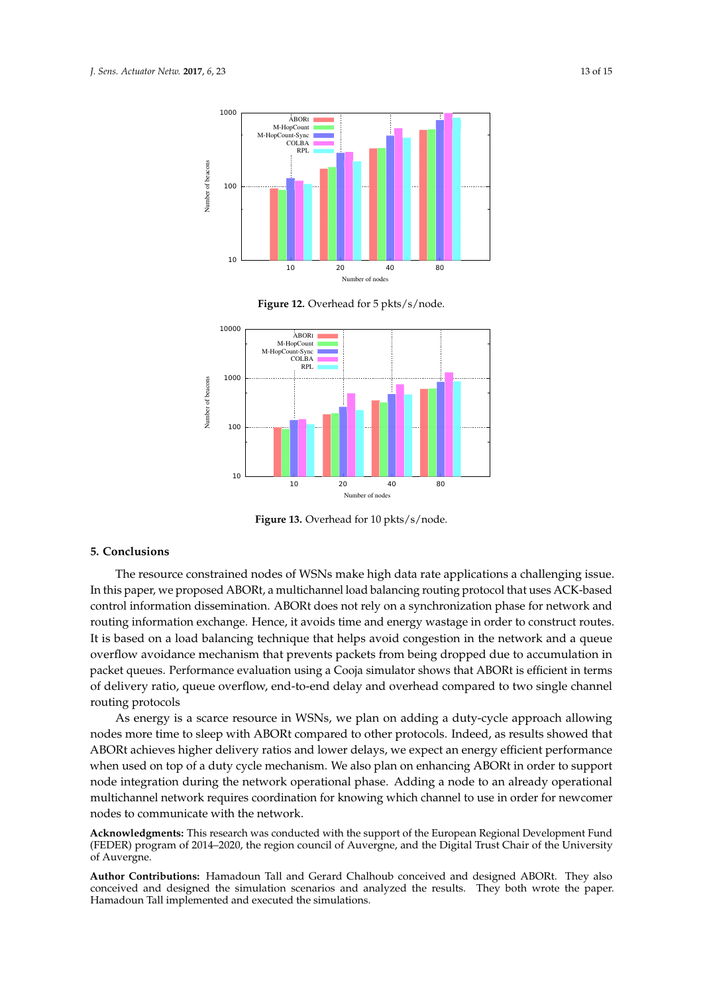

**Figure 12.** Overhead for 5 pkts/s/node.

<span id="page-12-1"></span>

**Figure 13.** Overhead for 10 pkts/s/node.

## <span id="page-12-0"></span>**5. Conclusions**

The resource constrained nodes of WSNs make high data rate applications a challenging issue. In this paper, we proposed ABORt, a multichannel load balancing routing protocol that uses ACK-based control information dissemination. ABORt does not rely on a synchronization phase for network and routing information exchange. Hence, it avoids time and energy wastage in order to construct routes. It is based on a load balancing technique that helps avoid congestion in the network and a queue overflow avoidance mechanism that prevents packets from being dropped due to accumulation in packet queues. Performance evaluation using a Cooja simulator shows that ABORt is efficient in terms of delivery ratio, queue overflow, end-to-end delay and overhead compared to two single channel routing protocols

As energy is a scarce resource in WSNs, we plan on adding a duty-cycle approach allowing nodes more time to sleep with ABORt compared to other protocols. Indeed, as results showed that ABORt achieves higher delivery ratios and lower delays, we expect an energy efficient performance when used on top of a duty cycle mechanism. We also plan on enhancing ABORt in order to support node integration during the network operational phase. Adding a node to an already operational multichannel network requires coordination for knowing which channel to use in order for newcomer nodes to communicate with the network.

**Acknowledgments:** This research was conducted with the support of the European Regional Development Fund (FEDER) program of 2014–2020, the region council of Auvergne, and the Digital Trust Chair of the University of Auvergne.

**Author Contributions:** Hamadoun Tall and Gerard Chalhoub conceived and designed ABORt. They also conceived and designed the simulation scenarios and analyzed the results. They both wrote the paper. Hamadoun Tall implemented and executed the simulations.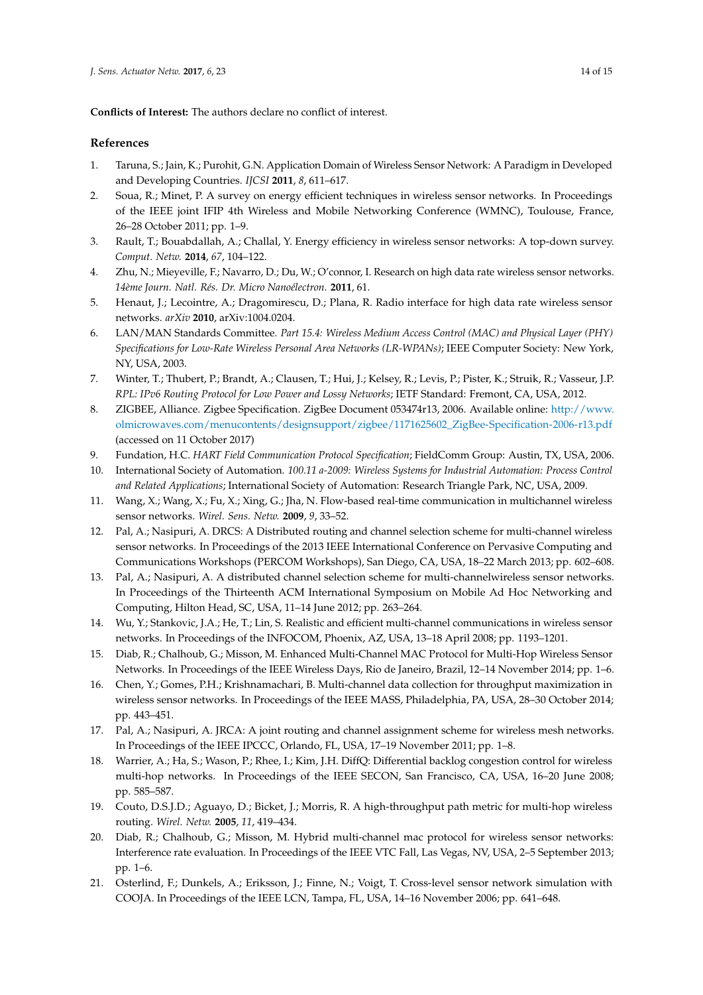**Conflicts of Interest:** The authors declare no conflict of interest.

### **References**

- <span id="page-13-0"></span>1. Taruna, S.; Jain, K.; Purohit, G.N. Application Domain of Wireless Sensor Network: A Paradigm in Developed and Developing Countries. *IJCSI* **2011**, *8*, 611–617.
- <span id="page-13-1"></span>2. Soua, R.; Minet, P. A survey on energy efficient techniques in wireless sensor networks. In Proceedings of the IEEE joint IFIP 4th Wireless and Mobile Networking Conference (WMNC), Toulouse, France, 26–28 October 2011; pp. 1–9.
- <span id="page-13-2"></span>3. Rault, T.; Bouabdallah, A.; Challal, Y. Energy efficiency in wireless sensor networks: A top-down survey. *Comput. Netw.* **2014**, *67*, 104–122.
- <span id="page-13-3"></span>4. Zhu, N.; Mieyeville, F.; Navarro, D.; Du, W.; O'connor, I. Research on high data rate wireless sensor networks. *14ème Journ. Natl. Rés. Dr. Micro Nanoélectron.* **2011**, 61.
- <span id="page-13-4"></span>5. Henaut, J.; Lecointre, A.; Dragomirescu, D.; Plana, R. Radio interface for high data rate wireless sensor networks. *arXiv* **2010**, arXiv:1004.0204.
- <span id="page-13-5"></span>6. LAN/MAN Standards Committee. *Part 15.4: Wireless Medium Access Control (MAC) and Physical Layer (PHY) Specifications for Low-Rate Wireless Personal Area Networks (LR-WPANs)*; IEEE Computer Society: New York, NY, USA, 2003.
- <span id="page-13-6"></span>7. Winter, T.; Thubert, P.; Brandt, A.; Clausen, T.; Hui, J.; Kelsey, R.; Levis, P.; Pister, K.; Struik, R.; Vasseur, J.P. *RPL: IPv6 Routing Protocol for Low Power and Lossy Networks*; IETF Standard: Fremont, CA, USA, 2012.
- <span id="page-13-7"></span>8. ZIGBEE, Alliance. Zigbee Specification. ZigBee Document 053474r13, 2006. Available online: [http://www.](http://www.olmicrowaves.com/menucontents/designsupport/zigbee/1171625602_ZigBee-Specification-2006-r13.pdf) [olmicrowaves.com/menucontents/designsupport/zigbee/1171625602\\_ZigBee-Specification-2006-r13.pdf](http://www.olmicrowaves.com/menucontents/designsupport/zigbee/1171625602_ZigBee-Specification-2006-r13.pdf) (accessed on 11 October 2017)
- <span id="page-13-8"></span>9. Fundation, H.C. *HART Field Communication Protocol Specification*; FieldComm Group: Austin, TX, USA, 2006.
- <span id="page-13-9"></span>10. International Society of Automation. *100.11 a-2009: Wireless Systems for Industrial Automation: Process Control and Related Applications*; International Society of Automation: Research Triangle Park, NC, USA, 2009.
- <span id="page-13-10"></span>11. Wang, X.; Wang, X.; Fu, X.; Xing, G.; Jha, N. Flow-based real-time communication in multichannel wireless sensor networks. *Wirel. Sens. Netw.* **2009**, *9*, 33–52.
- <span id="page-13-11"></span>12. Pal, A.; Nasipuri, A. DRCS: A Distributed routing and channel selection scheme for multi-channel wireless sensor networks. In Proceedings of the 2013 IEEE International Conference on Pervasive Computing and Communications Workshops (PERCOM Workshops), San Diego, CA, USA, 18–22 March 2013; pp. 602–608.
- <span id="page-13-12"></span>13. Pal, A.; Nasipuri, A. A distributed channel selection scheme for multi-channelwireless sensor networks. In Proceedings of the Thirteenth ACM International Symposium on Mobile Ad Hoc Networking and Computing, Hilton Head, SC, USA, 11–14 June 2012; pp. 263–264.
- <span id="page-13-13"></span>14. Wu, Y.; Stankovic, J.A.; He, T.; Lin, S. Realistic and efficient multi-channel communications in wireless sensor networks. In Proceedings of the INFOCOM, Phoenix, AZ, USA, 13–18 April 2008; pp. 1193–1201.
- <span id="page-13-14"></span>15. Diab, R.; Chalhoub, G.; Misson, M. Enhanced Multi-Channel MAC Protocol for Multi-Hop Wireless Sensor Networks. In Proceedings of the IEEE Wireless Days, Rio de Janeiro, Brazil, 12–14 November 2014; pp. 1–6.
- <span id="page-13-15"></span>16. Chen, Y.; Gomes, P.H.; Krishnamachari, B. Multi-channel data collection for throughput maximization in wireless sensor networks. In Proceedings of the IEEE MASS, Philadelphia, PA, USA, 28–30 October 2014; pp. 443–451.
- <span id="page-13-16"></span>17. Pal, A.; Nasipuri, A. JRCA: A joint routing and channel assignment scheme for wireless mesh networks. In Proceedings of the IEEE IPCCC, Orlando, FL, USA, 17–19 November 2011; pp. 1–8.
- <span id="page-13-17"></span>18. Warrier, A.; Ha, S.; Wason, P.; Rhee, I.; Kim, J.H. DiffQ: Differential backlog congestion control for wireless multi-hop networks. In Proceedings of the IEEE SECON, San Francisco, CA, USA, 16–20 June 2008; pp. 585–587.
- <span id="page-13-18"></span>19. Couto, D.S.J.D.; Aguayo, D.; Bicket, J.; Morris, R. A high-throughput path metric for multi-hop wireless routing. *Wirel. Netw.* **2005**, *11*, 419–434.
- <span id="page-13-19"></span>20. Diab, R.; Chalhoub, G.; Misson, M. Hybrid multi-channel mac protocol for wireless sensor networks: Interference rate evaluation. In Proceedings of the IEEE VTC Fall, Las Vegas, NV, USA, 2–5 September 2013; pp. 1–6.
- <span id="page-13-20"></span>21. Osterlind, F.; Dunkels, A.; Eriksson, J.; Finne, N.; Voigt, T. Cross-level sensor network simulation with COOJA. In Proceedings of the IEEE LCN, Tampa, FL, USA, 14–16 November 2006; pp. 641–648.